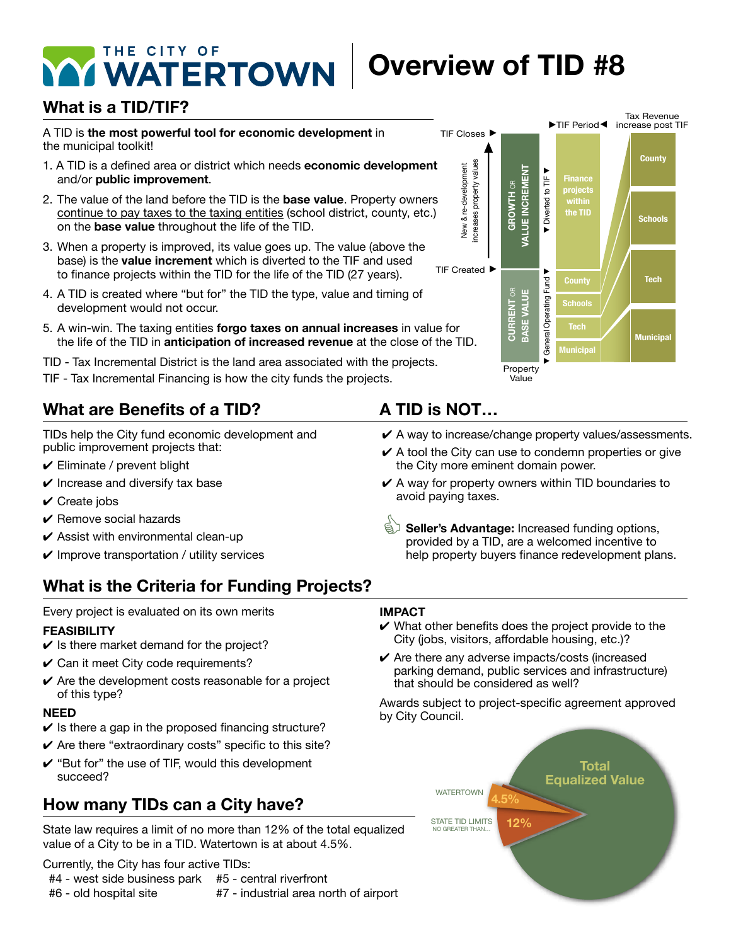# **Overview of TID #8**

### **What is a TID/TIF?**

A TID is **the most powerful tool for economic development** in the municipal toolkit!

- 1. A TID is a defined area or district which needs **economic development**  and/or **public improvement**.
- 2. The value of the land before the TID is the **base value**. Property owners continue to pay taxes to the taxing entities (school district, county, etc.) on the **base value** throughout the life of the TID.
- 3. When a property is improved, its value goes up. The value (above the base) is the **value increment** which is diverted to the TIF and used to finance projects within the TID for the life of the TID (27 years).
- 4. A TID is created where "but for" the TID the type, value and timing of development would not occur.
- 5. A win-win. The taxing entities **forgo taxes on annual increases** in value for the life of the TID in **anticipation of increased revenue** at the close of the TID.
- TID Tax Incremental District is the land area associated with the projects.
- TIF Tax Incremental Financing is how the city funds the projects.

### **What are Benefits of a TID?**

TIDs help the City fund economic development and public improvement projects that:

- $\checkmark$  Eliminate / prevent blight
- $\vee$  Increase and diversify tax base
- $\vee$  Create jobs
- $\vee$  Remove social hazards
- $\checkmark$  Assist with environmental clean-up
- $\vee$  Improve transportation / utility services

### **What is the Criteria for Funding Projects?**

### Every project is evaluated on its own merits

### **FEASIBILITY**

- $\vee$  Is there market demand for the project?
- $\checkmark$  Can it meet City code requirements?
- $\checkmark$  Are the development costs reasonable for a project of this type?

#### **NEED**

- $\checkmark$  Is there a gap in the proposed financing structure?
- $\vee$  Are there "extraordinary costs" specific to this site?
- $\checkmark$  "But for" the use of TIF, would this development succeed?

### **How many TIDs can a City have?**

State law requires a limit of no more than 12% of the total equalized value of a City to be in a TID. Watertown is at about 4.5%.

Currently, the City has four active TIDs:

| #4 - west side business park | #5 - central riverfront               |
|------------------------------|---------------------------------------|
| #6 - old hospital site       | #7 - industrial area north of airport |



#### $\mathbf{F}$  in improves itself using the additional tax revenue created as an outcome of rising  $\mathbf{F}$ property values with  $\mathbf{v}$

- $\boldsymbol{\checkmark}$  A way to increase/change property values/assessments.
- $\checkmark$  A tool the City can use to condemn properties or give the City more eminent domain power. *f* tool the only build doe to condenim properties of give
- $\checkmark$  A way for property owners within TID boundaries to to length property summers manner in section and increase the and improved properties, in an and improved properties,  $\frac{1}{2}$ avoid paying taxes.
- **Seller's Advantage:** Increased funding options,<br>provided by a TID, are a welcomed incentive to  $\sim$  contribution of the success of the success of the success of the success of the success of the success of the success of the success of the success of the success of the success of the success of the success of the s help property buyers finance redevelopment plans.

#### **IMPACT**

- $\vee$  What other benefits does the project provide to the City (jobs, visitors, affordable housing, etc.)?
- $\checkmark$  Are there any adverse impacts/costs (increased parking demand, public services and infrastructure) parting domand; pashe corricto and image actually

Awards subject to project-specific agreement approved by City Council.

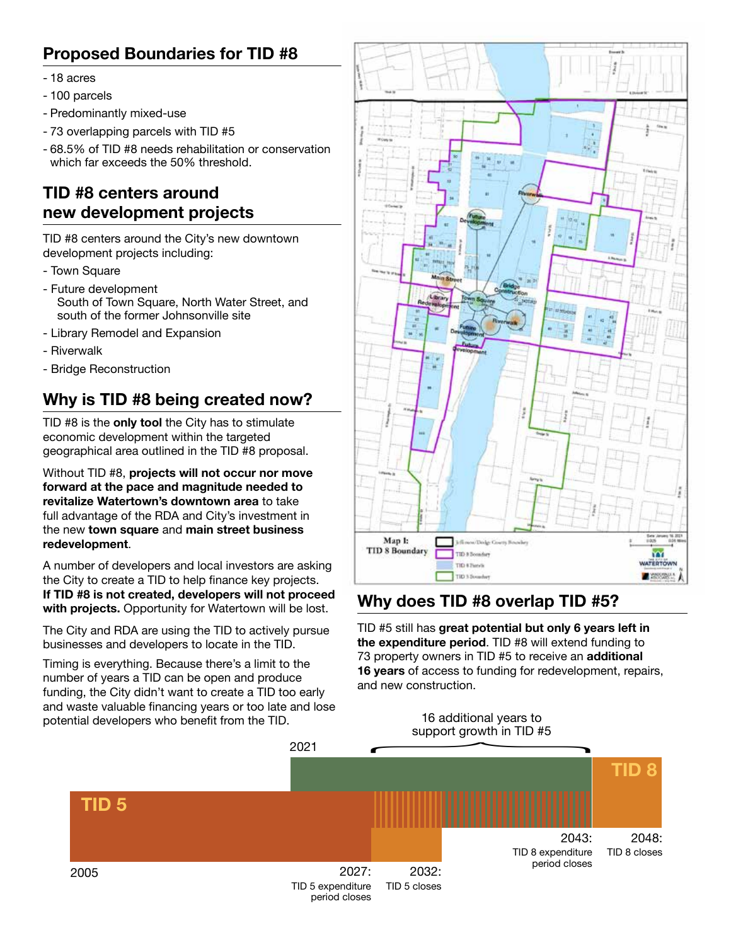### **Proposed Boundaries for TID #8**

- 18 acres
- 100 parcels
- Predominantly mixed-use
- 73 overlapping parcels with TID #5
- 68.5% of TID #8 needs rehabilitation or conservation which far exceeds the 50% threshold.

### **TID #8 centers around new development projects**

TID #8 centers around the City's new downtown development projects including:

- Town Square
- Future development South of Town Square, North Water Street, and south of the former Johnsonville site
- Library Remodel and Expansion
- Riverwalk
- Bridge Reconstruction

### **Why is TID #8 being created now?**

TID #8 is the **only tool** the City has to stimulate economic development within the targeted geographical area outlined in the TID #8 proposal.

Without TID #8, **projects will not occur nor move forward at the pace and magnitude needed to revitalize Watertown's downtown area** to take full advantage of the RDA and City's investment in the new **town square** and **main street business redevelopment**.

A number of developers and local investors are asking the City to create a TID to help finance key projects. **If TID #8 is not created, developers will not proceed with projects.** Opportunity for Watertown will be lost.

The City and RDA are using the TID to actively pursue businesses and developers to locate in the TID.

Businesses and developers to locate in the TID.<br>Timing is everything. Because there's a limit to the **16 years** of access to funding number of years a TID can be open and produce funding, the City didn't want to create a TID too early and waste valuable financing years or too late and lose potential developers who benefit from the TID.



### **Why does TID #8 overlap TID #5?**

TID #5 still has **great potential but only 6 years left in the expenditure period**. TID #8 will extend funding to 73 property owners in TID #5 to receive an **additional 16 years** of access to funding for redevelopment, repairs, and new construction.

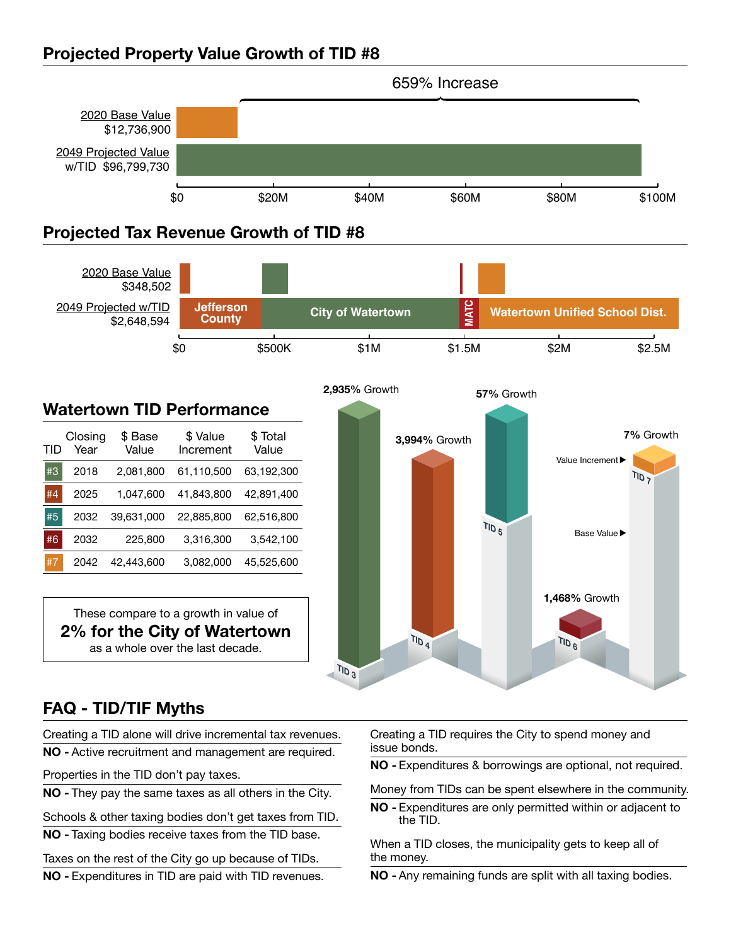#### **Projected Property Value Growth of TID #8 2,648,594,594,594,594,594,594**



**TID 3**

## 2020 Base Value **FAQ - TID/TIF Myths**

Creating a TID alone will drive incremental tax revenues.

Properties in the TID don't pay taxes. **County**

**NO -** They pay the same taxes as all others in the City.

Schools & other taxing bodies don't get taxes from TID.

**NO -** Taxing bodies receive taxes from the TID base.

Taxes on the rest of the City go up because of TIDs.

**NO -** Expenditures in TID are paid with TID revenues.

**NO** - Active recruitment and management are required. Signified Schools. Creating a TID requires the City to spend money and issue bonds.

**NO -** Expenditures & borrowings are optional, not required.

taxes as all others in the City.  $\hfill\blacksquare$  Money from TIDs can be spent elsewhere in the community.

**NO -** Expenditures are only permitted within or adjacent to the TID.

When a TID closes, the municipality gets to keep all of the money.

**NO -** Any remaining funds are split with all taxing bodies.